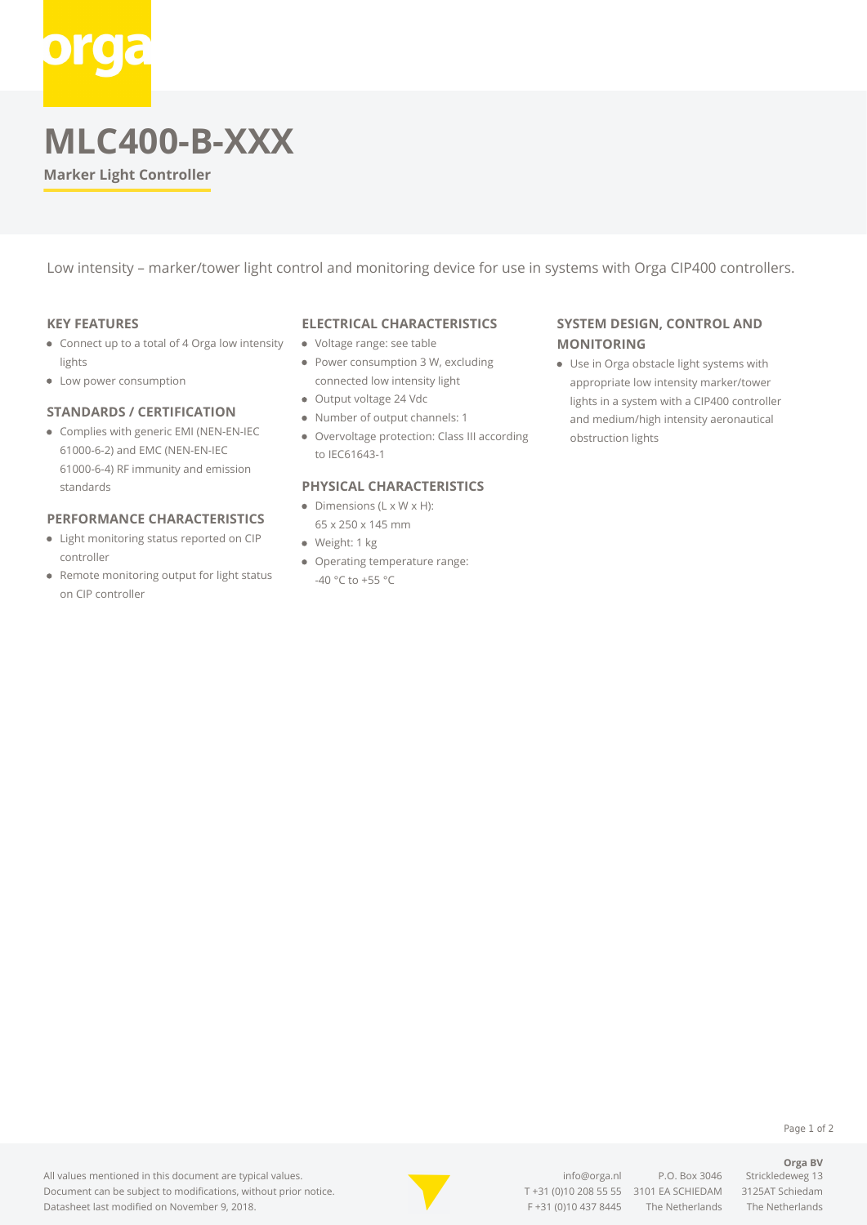# **MLC400-B-XXX**

**Marker Light Controller**

Low intensity – marker/tower light control and monitoring device for use in systems with Orga CIP400 controllers.

#### **KEY FEATURES**

- Connect up to a total of 4 Orga low intensity lights
- Low power consumption

#### **STANDARDS / CERTIFICATION**

Complies with generic EMI (NEN-EN-IEC 61000-6-2) and EMC (NEN-EN-IEC 61000-6-4) RF immunity and emission standards

# **PERFORMANCE CHARACTERISTICS**

- Light monitoring status reported on CIP controller
- Remote monitoring output for light status on CIP controller

#### **ELECTRICAL CHARACTERISTICS**

- Voltage range: see table
- Power consumption 3 W, excluding connected low intensity light
- Output voltage 24 Vdc
- Number of output channels: 1
- Overvoltage protection: Class III according to IEC61643-1

### **PHYSICAL CHARACTERISTICS**

- $\bullet$  Dimensions (L x W x H): 65 x 250 x 145 mm
- · Weight: 1 kg
- Operating temperature range: -40 °C to +55 °C

# **SYSTEM DESIGN, CONTROL AND MONITORING**

Use in Orga obstacle light systems with appropriate low intensity marker/tower lights in a system with a CIP400 controller and medium/high intensity aeronautical obstruction lights

Page 1 of 2

**Orga BV**